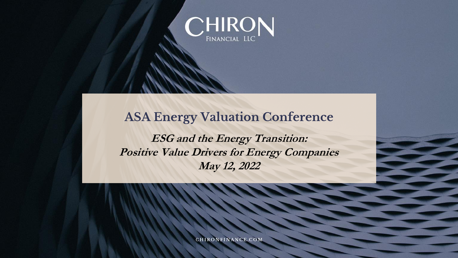

### **ASA Energy Valuation Conference**

**ESG and the Energy Transition: Positive Value Drivers for Energy Companies May 12, 2022**

**CHIRONFINANCE, COM**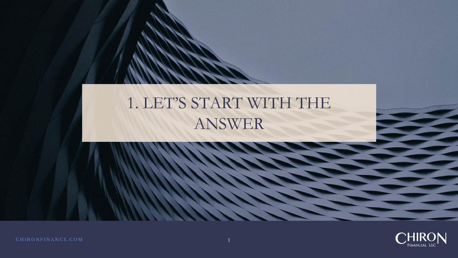# 1. LET'S START WITH THE ANSWER

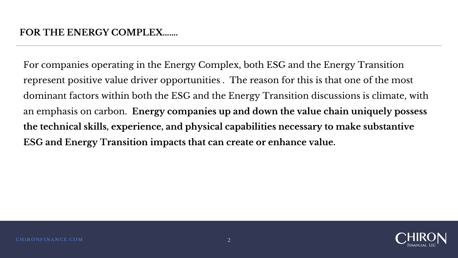For companies operating in the Energy Complex, both ESG and the Energy Transition represent positive value driver opportunities . The reason for this is that one of the most dominant factors within both the ESG and the Energy Transition discussions is climate, with an emphasis on carbon. **Energy companies up and down the value chain uniquely possess the technical skills, experience, and physical capabilities necessary to make substantive ESG and Energy Transition impacts that can create or enhance value.** 

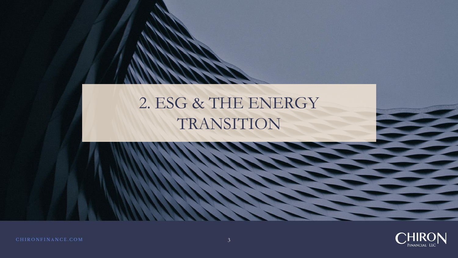# 2. ESG & THE ENERGY TRANSITION

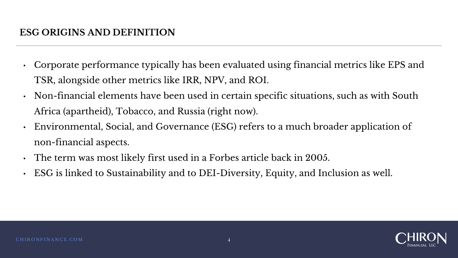- Corporate performance typically has been evaluated using financial metrics like EPS and TSR, alongside other metrics like IRR, NPV, and ROI.
- Non-financial elements have been used in certain specific situations, such as with South Africa (apartheid), Tobacco, and Russia (right now).
- Environmental, Social, and Governance (ESG) refers to a much broader application of non-financial aspects.
- The term was most likely first used in a Forbes article back in 2005.
- ESG is linked to Sustainability and to DEI-Diversity, Equity, and Inclusion as well.

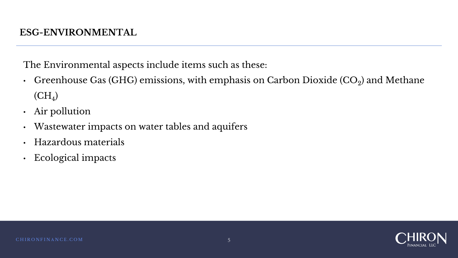The Environmental aspects include items such as these:

- Greenhouse Gas (GHG) emissions, with emphasis on Carbon Dioxide (CO $_2$ ) and Methane  ${\rm (CH_4)}$
- Air pollution
- Wastewater impacts on water tables and aquifers
- Hazardous materials
- Ecological impacts

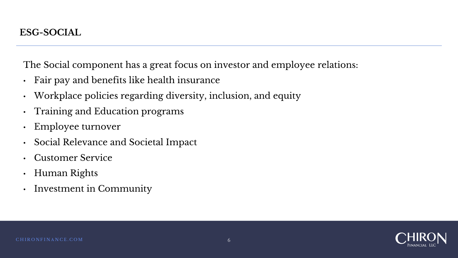The Social component has a great focus on investor and employee relations:

- Fair pay and benefits like health insurance
- Workplace policies regarding diversity, inclusion, and equity
- Training and Education programs
- Employee turnover
- Social Relevance and Societal Impact
- Customer Service
- Human Rights
- Investment in Community

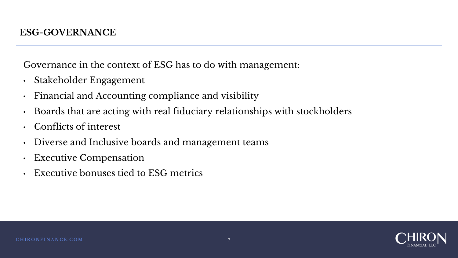Governance in the context of ESG has to do with management:

- Stakeholder Engagement
- Financial and Accounting compliance and visibility
- Boards that are acting with real fiduciary relationships with stockholders
- Conflicts of interest
- Diverse and Inclusive boards and management teams
- Executive Compensation
- Executive bonuses tied to ESG metrics

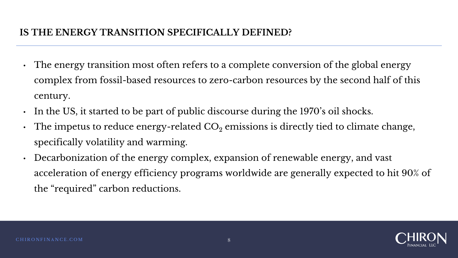#### **IS THE ENERGY TRANSITION SPECIFICALLY DEFINED?**

- The energy transition most often refers to a complete conversion of the global energy complex from fossil-based resources to zero-carbon resources by the second half of this century.
- In the US, it started to be part of public discourse during the 1970's oil shocks.
- The impetus to reduce energy-related  $CO<sub>2</sub>$  emissions is directly tied to climate change, specifically volatility and warming.
- Decarbonization of the energy complex, expansion of renewable energy, and vast acceleration of energy efficiency programs worldwide are generally expected to hit 90% of the "required" carbon reductions.

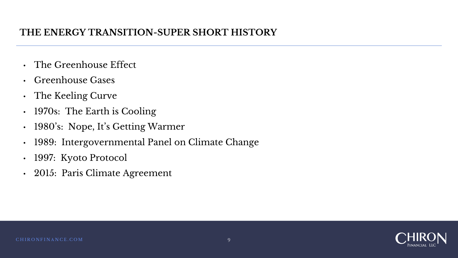#### **THE ENERGY TRANSITION-SUPER SHORT HISTORY**

- The Greenhouse Effect
- Greenhouse Gases
- The Keeling Curve
- 1970s: The Earth is Cooling
- 1980's: Nope, It's Getting Warmer
- 1989: Intergovernmental Panel on Climate Change
- 1997: Kyoto Protocol
- 2015: Paris Climate Agreement

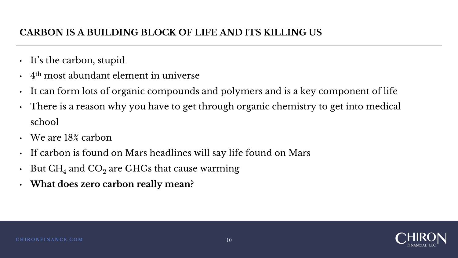### **CARBON IS A BUILDING BLOCK OF LIFE AND ITS KILLING US**

- It's the carbon, stupid
- $\bm{\cdot}$  4<sup>th</sup> most abundant element in universe
- It can form lots of organic compounds and polymers and is a key component of life
- There is a reason why you have to get through organic chemistry to get into medical school
- We are 18% carbon
- If carbon is found on Mars headlines will say life found on Mars
- But  $CH_4$  and  $CO_2$  are GHGs that cause warming
- **What does zero carbon really mean?**

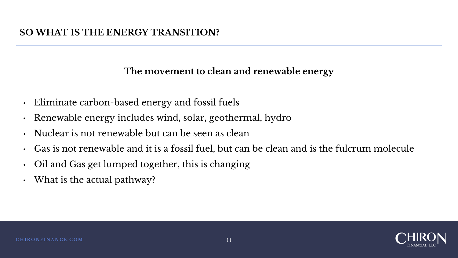#### **The movement to clean and renewable energy**

- Eliminate carbon-based energy and fossil fuels
- Renewable energy includes wind, solar, geothermal, hydro
- Nuclear is not renewable but can be seen as clean
- Gas is not renewable and it is a fossil fuel, but can be clean and is the fulcrum molecule
- Oil and Gas get lumped together, this is changing
- What is the actual pathway?

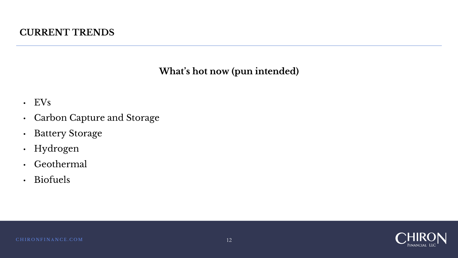#### **CURRENT TRENDS**

#### **What's hot now (pun intended)**

- EVs
- Carbon Capture and Storage
- Battery Storage
- Hydrogen
- Geothermal
- Biofuels

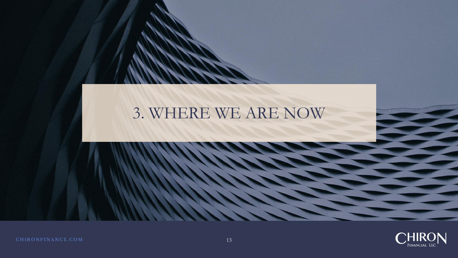## 3. WHERE WE ARE NOW

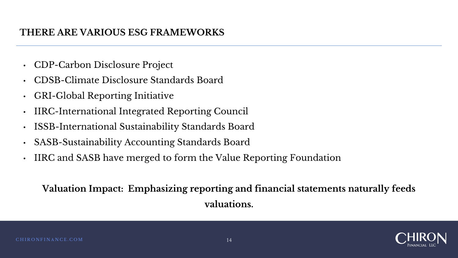#### **THERE ARE VARIOUS ESG FRAMEWORKS**

- CDP-Carbon Disclosure Project
- CDSB-Climate Disclosure Standards Board
- GRI-Global Reporting Initiative
- IIRC-International Integrated Reporting Council
- ISSB-International Sustainability Standards Board
- SASB-Sustainability Accounting Standards Board
- IIRC and SASB have merged to form the Value Reporting Foundation

### **Valuation Impact: Emphasizing reporting and financial statements naturally feeds valuations.**

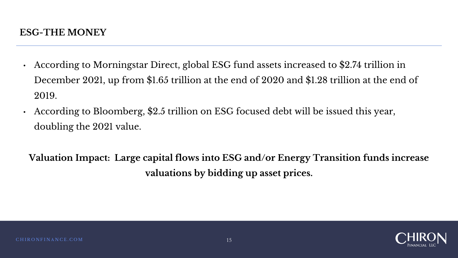- According to Morningstar Direct, global ESG fund assets increased to \$2.74 trillion in December 2021, up from \$1.65 trillion at the end of 2020 and \$1.28 trillion at the end of 2019.
- According to Bloomberg, \$2.5 trillion on ESG focused debt will be issued this year, doubling the 2021 value.

**Valuation Impact: Large capital flows into ESG and/or Energy Transition funds increase valuations by bidding up asset prices.**

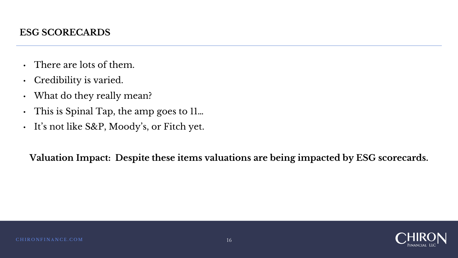- There are lots of them.
- Credibility is varied.
- What do they really mean?
- This is Spinal Tap, the amp goes to 11...
- It's not like S&P, Moody's, or Fitch yet.

**Valuation Impact: Despite these items valuations are being impacted by ESG scorecards.**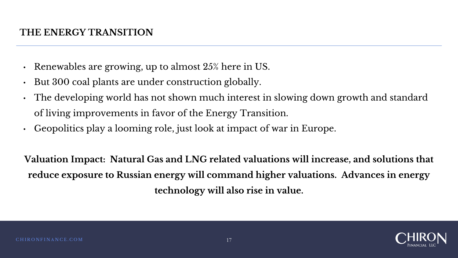#### **THE ENERGY TRANSITION**

- Renewables are growing, up to almost 25% here in US.
- But 300 coal plants are under construction globally.
- The developing world has not shown much interest in slowing down growth and standard of living improvements in favor of the Energy Transition.
- Geopolitics play a looming role, just look at impact of war in Europe.

**Valuation Impact: Natural Gas and LNG related valuations will increase, and solutions that reduce exposure to Russian energy will command higher valuations. Advances in energy technology will also rise in value.**

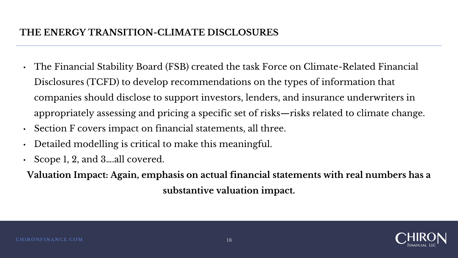#### **THE ENERGY TRANSITION-CLIMATE DISCLOSURES**

- The Financial Stability Board (FSB) created the task Force on Climate-Related Financial Disclosures (TCFD) to develop recommendations on the types of information that companies should disclose to support investors, lenders, and insurance underwriters in appropriately assessing and pricing a specific set of risks—risks related to climate change.
- Section F covers impact on financial statements, all three.
- Detailed modelling is critical to make this meaningful.
- Scope 1, 2, and 3….all covered.
- **Valuation Impact: Again, emphasis on actual financial statements with real numbers has a substantive valuation impact.**

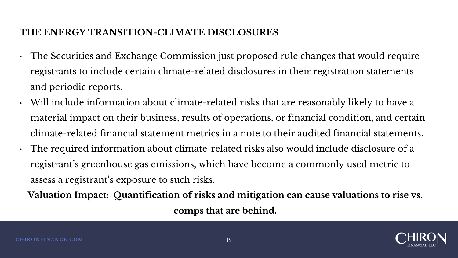#### **THE ENERGY TRANSITION-CLIMATE DISCLOSURES**

- The Securities and Exchange Commission just proposed rule changes that would require registrants to include certain climate-related disclosures in their registration statements and periodic reports.
- Will include information about climate-related risks that are reasonably likely to have a material impact on their business, results of operations, or financial condition, and certain climate-related financial statement metrics in a note to their audited financial statements.
- The required information about climate-related risks also would include disclosure of a registrant's greenhouse gas emissions, which have become a commonly used metric to assess a registrant's exposure to such risks.

**Valuation Impact: Quantification of risks and mitigation can cause valuations to rise vs. comps that are behind.**

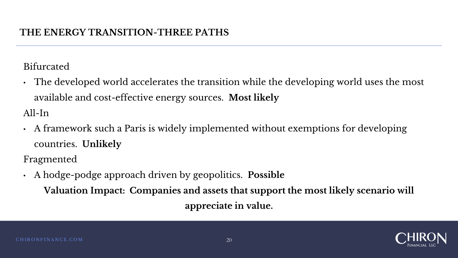Bifurcated

• The developed world accelerates the transition while the developing world uses the most available and cost-effective energy sources. **Most likely**

All-In

• A framework such a Paris is widely implemented without exemptions for developing countries. **Unlikely**

Fragmented

• A hodge-podge approach driven by geopolitics. **Possible Valuation Impact: Companies and assets that support the most likely scenario will appreciate in value.**

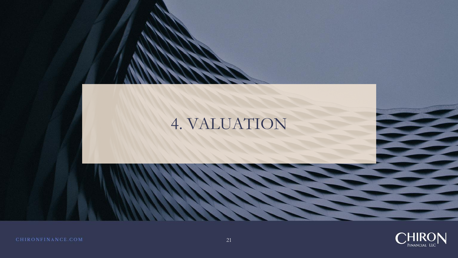# 4. VALUATION

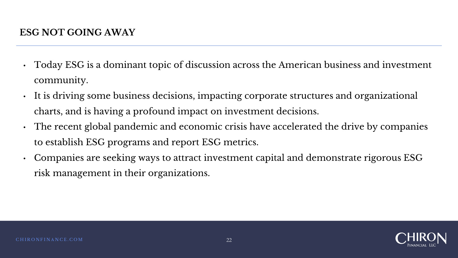- Today ESG is a dominant topic of discussion across the American business and investment community.
- It is driving some business decisions, impacting corporate structures and organizational charts, and is having a profound impact on investment decisions.
- The recent global pandemic and economic crisis have accelerated the drive by companies to establish ESG programs and report ESG metrics.
- Companies are seeking ways to attract investment capital and demonstrate rigorous ESG risk management in their organizations.

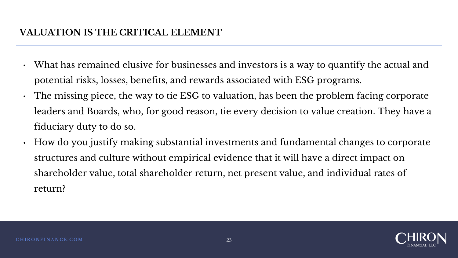### **VALUATION IS THE CRITICAL ELEMENT**

- What has remained elusive for businesses and investors is a way to quantify the actual and potential risks, losses, benefits, and rewards associated with ESG programs.
- The missing piece, the way to tie ESG to valuation, has been the problem facing corporate leaders and Boards, who, for good reason, tie every decision to value creation. They have a fiduciary duty to do so.
- How do you justify making substantial investments and fundamental changes to corporate structures and culture without empirical evidence that it will have a direct impact on shareholder value, total shareholder return, net present value, and individual rates of return?

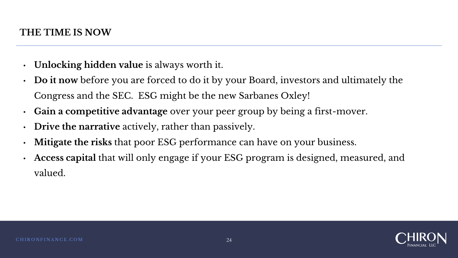- **Unlocking hidden value** is always worth it.
- **Do it now** before you are forced to do it by your Board, investors and ultimately the Congress and the SEC. ESG might be the new Sarbanes Oxley!
- **Gain a competitive advantage** over your peer group by being a first-mover.
- **Drive the narrative** actively, rather than passively.
- **Mitigate the risks** that poor ESG performance can have on your business.
- **Access capital** that will only engage if your ESG program is designed, measured, and valued.

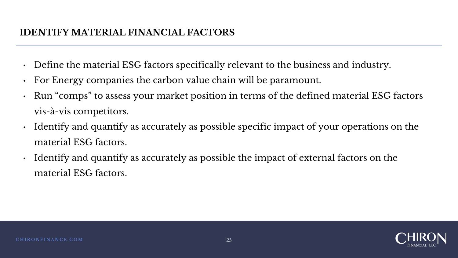### **IDENTIFY MATERIAL FINANCIAL FACTORS**

- Define the material ESG factors specifically relevant to the business and industry.
- For Energy companies the carbon value chain will be paramount.
- Run "comps" to assess your market position in terms of the defined material ESG factors vis-à-vis competitors.
- Identify and quantify as accurately as possible specific impact of your operations on the material ESG factors.
- Identify and quantify as accurately as possible the impact of external factors on the material ESG factors.

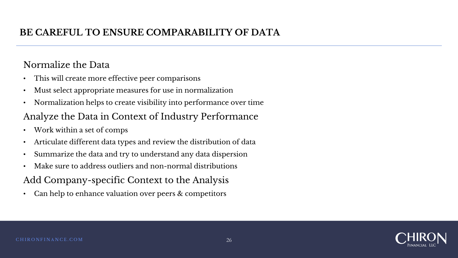### **BE CAREFUL TO ENSURE COMPARABILITY OF DATA**

#### Normalize the Data

- This will create more effective peer comparisons
- Must select appropriate measures for use in normalization
- Normalization helps to create visibility into performance over time

### Analyze the Data in Context of Industry Performance

- Work within a set of comps
- Articulate different data types and review the distribution of data
- Summarize the data and try to understand any data dispersion
- Make sure to address outliers and non-normal distributions

Add Company-specific Context to the Analysis

• Can help to enhance valuation over peers & competitors

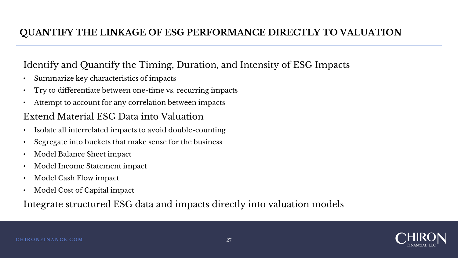#### **QUANTIFY THE LINKAGE OF ESG PERFORMANCE DIRECTLY TO VALUATION**

#### Identify and Quantify the Timing, Duration, and Intensity of ESG Impacts

- Summarize key characteristics of impacts
- Try to differentiate between one-time vs. recurring impacts
- Attempt to account for any correlation between impacts

#### Extend Material ESG Data into Valuation

- Isolate all interrelated impacts to avoid double-counting
- Segregate into buckets that make sense for the business
- Model Balance Sheet impact
- Model Income Statement impact
- Model Cash Flow impact
- Model Cost of Capital impact

#### Integrate structured ESG data and impacts directly into valuation models

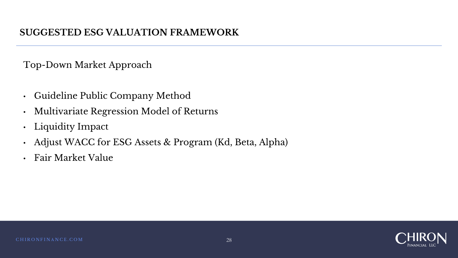Top-Down Market Approach

- Guideline Public Company Method
- Multivariate Regression Model of Returns
- Liquidity Impact
- Adjust WACC for ESG Assets & Program (Kd, Beta, Alpha)
- Fair Market Value

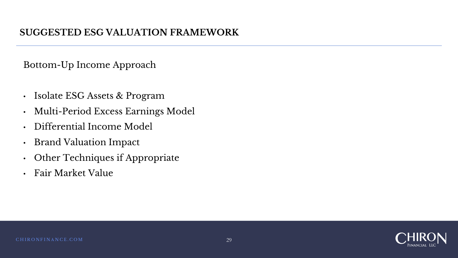Bottom-Up Income Approach

- Isolate ESG Assets & Program
- Multi-Period Excess Earnings Model
- Differential Income Model
- Brand Valuation Impact
- Other Techniques if Appropriate
- Fair Market Value

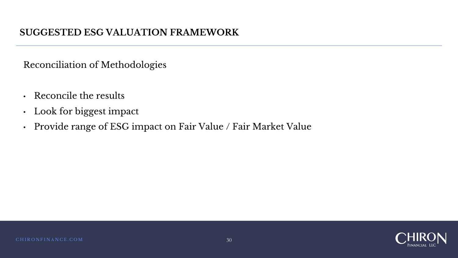Reconciliation of Methodologies

- Reconcile the results
- Look for biggest impact
- Provide range of ESG impact on Fair Value / Fair Market Value

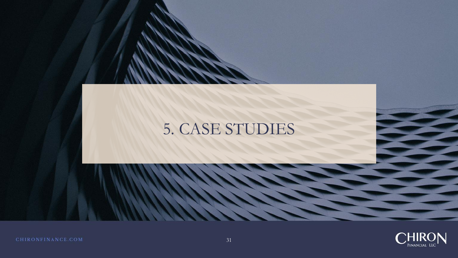# 5. CASE STUDIES

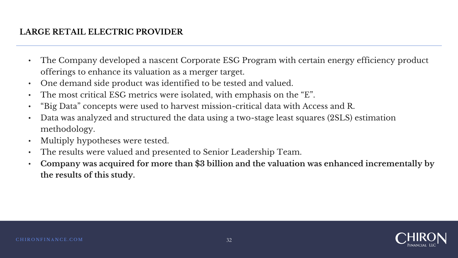#### **LARGE RETAIL ELECTRIC PROVIDER**

- The Company developed a nascent Corporate ESG Program with certain energy efficiency product offerings to enhance its valuation as a merger target.
- One demand side product was identified to be tested and valued.
- The most critical ESG metrics were isolated, with emphasis on the "E".
- "Big Data" concepts were used to harvest mission-critical data with Access and R.
- Data was analyzed and structured the data using a two-stage least squares (2SLS) estimation methodology.
- Multiply hypotheses were tested.
- The results were valued and presented to Senior Leadership Team.
- **Company was acquired for more than \$3 billion and the valuation was enhanced incrementally by the results of this study.**

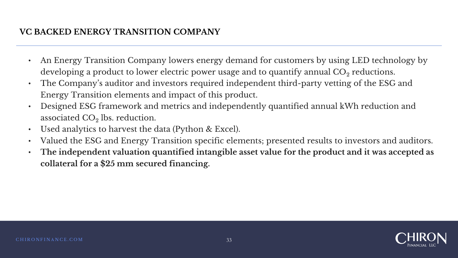#### **VC BACKED ENERGY TRANSITION COMPANY**

- An Energy Transition Company lowers energy demand for customers by using LED technology by developing a product to lower electric power usage and to quantify annual  $\mathrm{CO}_2$  reductions.
- The Company's auditor and investors required independent third-party vetting of the ESG and Energy Transition elements and impact of this product.
- Designed ESG framework and metrics and independently quantified annual kWh reduction and associated CO $_2$  lbs. reduction.
- Used analytics to harvest the data (Python & Excel).
- Valued the ESG and Energy Transition specific elements; presented results to investors and auditors.
- **The independent valuation quantified intangible asset value for the product and it was accepted as collateral for a \$25 mm secured financing.**

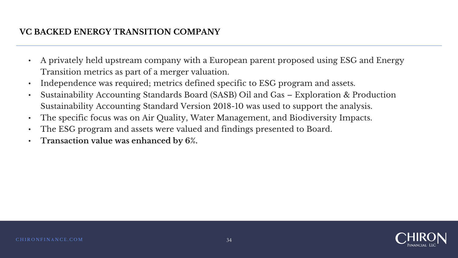#### **VC BACKED ENERGY TRANSITION COMPANY**

- A privately held upstream company with a European parent proposed using ESG and Energy Transition metrics as part of a merger valuation.
- Independence was required; metrics defined specific to ESG program and assets.
- Sustainability Accounting Standards Board (SASB) Oil and Gas Exploration & Production Sustainability Accounting Standard Version 2018-10 was used to support the analysis.
- The specific focus was on Air Quality, Water Management, and Biodiversity Impacts.
- The ESG program and assets were valued and findings presented to Board.
- **Transaction value was enhanced by 6%.**

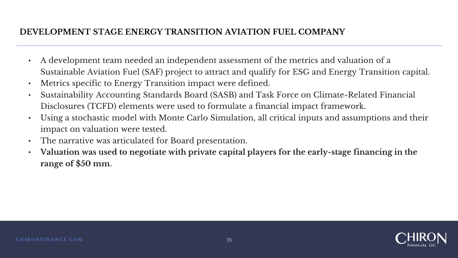#### **DEVELOPMENT STAGE ENERGY TRANSITION AVIATION FUEL COMPANY**

- A development team needed an independent assessment of the metrics and valuation of a Sustainable Aviation Fuel (SAF) project to attract and qualify for ESG and Energy Transition capital.
- Metrics specific to Energy Transition impact were defined.
- Sustainability Accounting Standards Board (SASB) and Task Force on Climate-Related Financial Disclosures (TCFD) elements were used to formulate a financial impact framework.
- Using a stochastic model with Monte Carlo Simulation, all critical inputs and assumptions and their impact on valuation were tested.
- The narrative was articulated for Board presentation.
- **Valuation was used to negotiate with private capital players for the early-stage financing in the range of \$50 mm.**